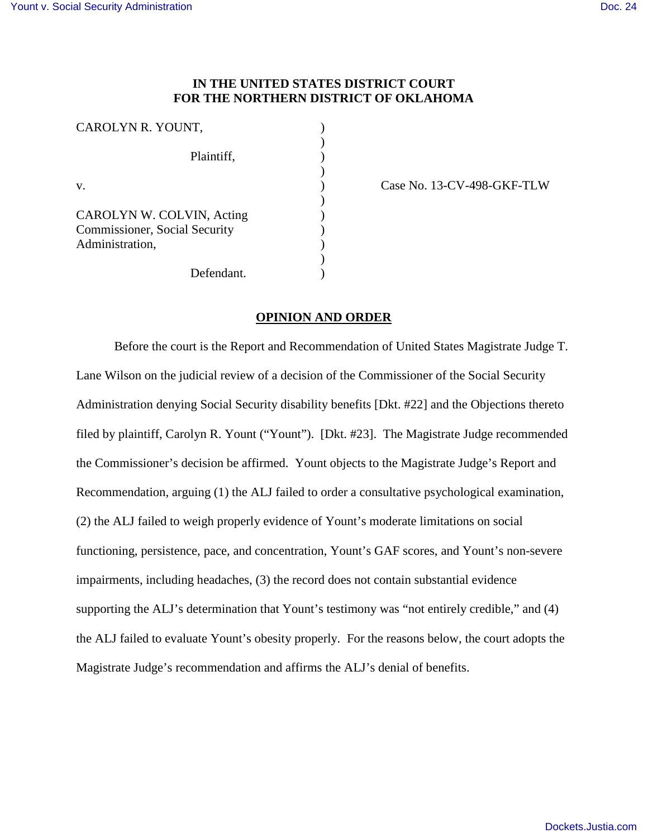# **IN THE UNITED STATES DISTRICT COURT FOR THE NORTHERN DISTRICT OF OKLAHOMA**

| CAROLYN R. YOUNT,                                          |  |
|------------------------------------------------------------|--|
| Plaintiff,                                                 |  |
| V.                                                         |  |
| CAROLYN W. COLVIN, Acting<br>Commissioner, Social Security |  |
| Administration,                                            |  |
| Defendant.                                                 |  |

Case No. 13-CV-498-GKF-TLW

## **OPINION AND ORDER**

Before the court is the Report and Recommendation of United States Magistrate Judge T. Lane Wilson on the judicial review of a decision of the Commissioner of the Social Security Administration denying Social Security disability benefits [Dkt. #22] and the Objections thereto filed by plaintiff, Carolyn R. Yount ("Yount"). [Dkt. #23]. The Magistrate Judge recommended the Commissioner's decision be affirmed. Yount objects to the Magistrate Judge's Report and Recommendation, arguing (1) the ALJ failed to order a consultative psychological examination, (2) the ALJ failed to weigh properly evidence of Yount's moderate limitations on social functioning, persistence, pace, and concentration, Yount's GAF scores, and Yount's non-severe impairments, including headaches, (3) the record does not contain substantial evidence supporting the ALJ's determination that Yount's testimony was "not entirely credible," and (4) the ALJ failed to evaluate Yount's obesity properly. For the reasons below, the court adopts the Magistrate Judge's recommendation and affirms the ALJ's denial of benefits.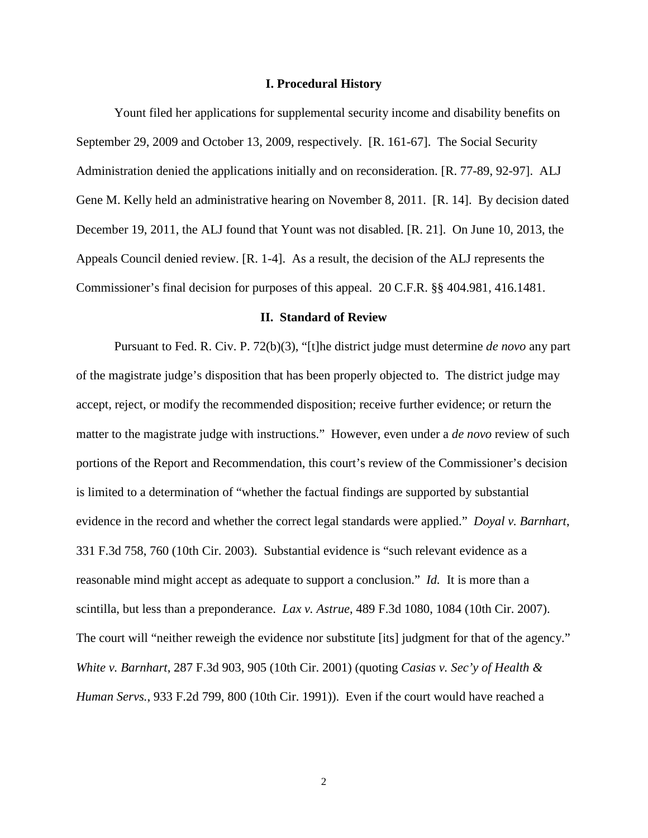### **I. Procedural History**

 Yount filed her applications for supplemental security income and disability benefits on September 29, 2009 and October 13, 2009, respectively. [R. 161-67]. The Social Security Administration denied the applications initially and on reconsideration. [R. 77-89, 92-97]. ALJ Gene M. Kelly held an administrative hearing on November 8, 2011. [R. 14]. By decision dated December 19, 2011, the ALJ found that Yount was not disabled. [R. 21]. On June 10, 2013, the Appeals Council denied review. [R. 1-4]. As a result, the decision of the ALJ represents the Commissioner's final decision for purposes of this appeal. 20 C.F.R. §§ 404.981, 416.1481.

### **II. Standard of Review**

 Pursuant to Fed. R. Civ. P. 72(b)(3), "[t]he district judge must determine *de novo* any part of the magistrate judge's disposition that has been properly objected to. The district judge may accept, reject, or modify the recommended disposition; receive further evidence; or return the matter to the magistrate judge with instructions." However, even under a *de novo* review of such portions of the Report and Recommendation, this court's review of the Commissioner's decision is limited to a determination of "whether the factual findings are supported by substantial evidence in the record and whether the correct legal standards were applied." *Doyal v. Barnhart*, 331 F.3d 758, 760 (10th Cir. 2003). Substantial evidence is "such relevant evidence as a reasonable mind might accept as adequate to support a conclusion." *Id.* It is more than a scintilla, but less than a preponderance. *Lax v. Astrue*, 489 F.3d 1080, 1084 (10th Cir. 2007). The court will "neither reweigh the evidence nor substitute [its] judgment for that of the agency." *White v. Barnhart*, 287 F.3d 903, 905 (10th Cir. 2001) (quoting *Casias v. Sec'y of Health & Human Servs.*, 933 F.2d 799, 800 (10th Cir. 1991)). Even if the court would have reached a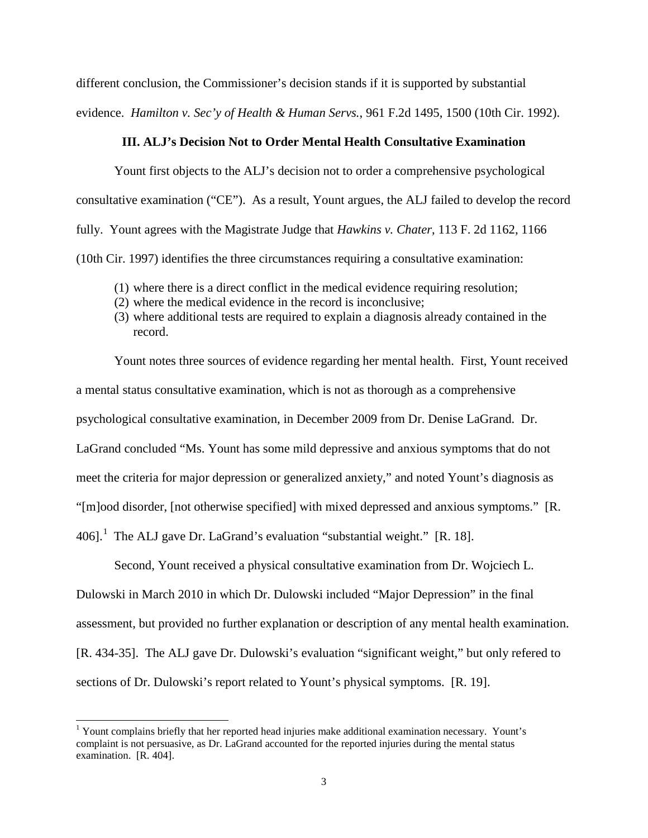different conclusion, the Commissioner's decision stands if it is supported by substantial evidence. *Hamilton v. Sec'y of Health & Human Servs.*, 961 F.2d 1495, 1500 (10th Cir. 1992).

# **III. ALJ's Decision Not to Order Mental Health Consultative Examination**

Yount first objects to the ALJ's decision not to order a comprehensive psychological consultative examination ("CE"). As a result, Yount argues, the ALJ failed to develop the record fully. Yount agrees with the Magistrate Judge that *Hawkins v. Chater*, 113 F. 2d 1162, 1166 (10th Cir. 1997) identifies the three circumstances requiring a consultative examination:

- (1) where there is a direct conflict in the medical evidence requiring resolution;
- (2) where the medical evidence in the record is inconclusive;
- (3) where additional tests are required to explain a diagnosis already contained in the record.

Yount notes three sources of evidence regarding her mental health. First, Yount received a mental status consultative examination, which is not as thorough as a comprehensive psychological consultative examination, in December 2009 from Dr. Denise LaGrand. Dr. LaGrand concluded "Ms. Yount has some mild depressive and anxious symptoms that do not meet the criteria for major depression or generalized anxiety," and noted Yount's diagnosis as "[m]ood disorder, [not otherwise specified] with mixed depressed and anxious symptoms." [R. 406].<sup>[1](#page-2-0)</sup> The ALJ gave Dr. LaGrand's evaluation "substantial weight." [R. 18].

 Second, Yount received a physical consultative examination from Dr. Wojciech L. Dulowski in March 2010 in which Dr. Dulowski included "Major Depression" in the final assessment, but provided no further explanation or description of any mental health examination. [R. 434-35]. The ALJ gave Dr. Dulowski's evaluation "significant weight," but only refered to sections of Dr. Dulowski's report related to Yount's physical symptoms. [R. 19].

-

<span id="page-2-0"></span><sup>&</sup>lt;sup>1</sup> Yount complains briefly that her reported head injuries make additional examination necessary. Yount's complaint is not persuasive, as Dr. LaGrand accounted for the reported injuries during the mental status examination. [R. 404].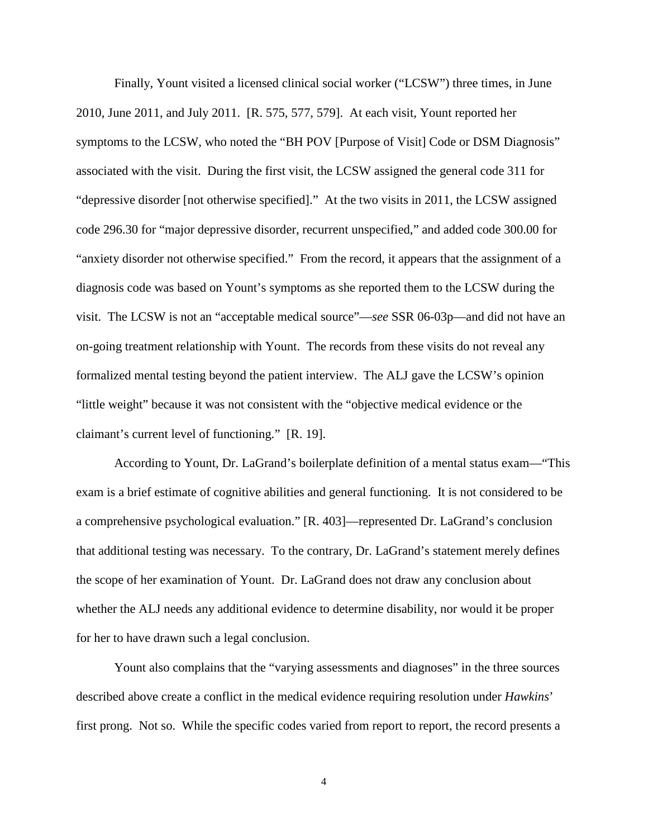Finally, Yount visited a licensed clinical social worker ("LCSW") three times, in June 2010, June 2011, and July 2011. [R. 575, 577, 579]. At each visit, Yount reported her symptoms to the LCSW, who noted the "BH POV [Purpose of Visit] Code or DSM Diagnosis" associated with the visit. During the first visit, the LCSW assigned the general code 311 for "depressive disorder [not otherwise specified]." At the two visits in 2011, the LCSW assigned code 296.30 for "major depressive disorder, recurrent unspecified," and added code 300.00 for "anxiety disorder not otherwise specified." From the record, it appears that the assignment of a diagnosis code was based on Yount's symptoms as she reported them to the LCSW during the visit. The LCSW is not an "acceptable medical source"—*see* SSR 06-03p—and did not have an on-going treatment relationship with Yount. The records from these visits do not reveal any formalized mental testing beyond the patient interview. The ALJ gave the LCSW's opinion "little weight" because it was not consistent with the "objective medical evidence or the claimant's current level of functioning." [R. 19].

 According to Yount, Dr. LaGrand's boilerplate definition of a mental status exam—"This exam is a brief estimate of cognitive abilities and general functioning. It is not considered to be a comprehensive psychological evaluation." [R. 403]—represented Dr. LaGrand's conclusion that additional testing was necessary. To the contrary, Dr. LaGrand's statement merely defines the scope of her examination of Yount. Dr. LaGrand does not draw any conclusion about whether the ALJ needs any additional evidence to determine disability, nor would it be proper for her to have drawn such a legal conclusion.

Yount also complains that the "varying assessments and diagnoses" in the three sources described above create a conflict in the medical evidence requiring resolution under *Hawkins*' first prong. Not so. While the specific codes varied from report to report, the record presents a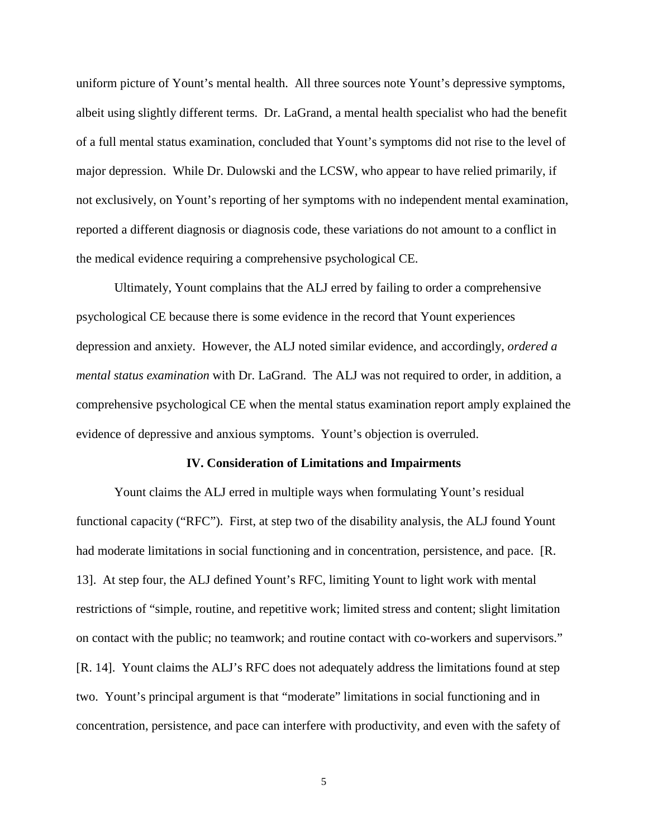uniform picture of Yount's mental health. All three sources note Yount's depressive symptoms, albeit using slightly different terms. Dr. LaGrand, a mental health specialist who had the benefit of a full mental status examination, concluded that Yount's symptoms did not rise to the level of major depression. While Dr. Dulowski and the LCSW, who appear to have relied primarily, if not exclusively, on Yount's reporting of her symptoms with no independent mental examination, reported a different diagnosis or diagnosis code, these variations do not amount to a conflict in the medical evidence requiring a comprehensive psychological CE.

Ultimately, Yount complains that the ALJ erred by failing to order a comprehensive psychological CE because there is some evidence in the record that Yount experiences depression and anxiety. However, the ALJ noted similar evidence, and accordingly, *ordered a mental status examination* with Dr. LaGrand. The ALJ was not required to order, in addition, a comprehensive psychological CE when the mental status examination report amply explained the evidence of depressive and anxious symptoms. Yount's objection is overruled.

#### **IV. Consideration of Limitations and Impairments**

Yount claims the ALJ erred in multiple ways when formulating Yount's residual functional capacity ("RFC"). First, at step two of the disability analysis, the ALJ found Yount had moderate limitations in social functioning and in concentration, persistence, and pace. [R. 13]. At step four, the ALJ defined Yount's RFC, limiting Yount to light work with mental restrictions of "simple, routine, and repetitive work; limited stress and content; slight limitation on contact with the public; no teamwork; and routine contact with co-workers and supervisors." [R. 14]. Yount claims the ALJ's RFC does not adequately address the limitations found at step two. Yount's principal argument is that "moderate" limitations in social functioning and in concentration, persistence, and pace can interfere with productivity, and even with the safety of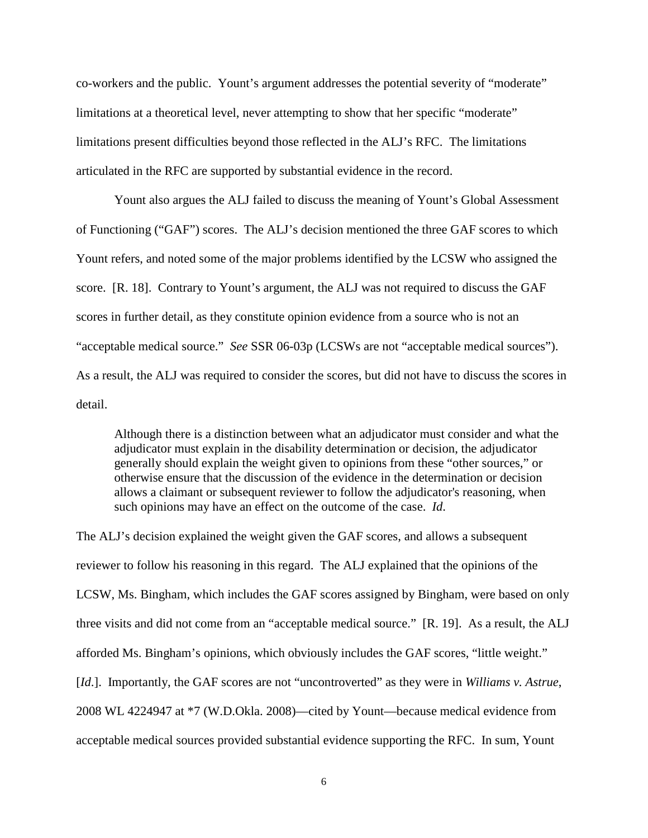co-workers and the public. Yount's argument addresses the potential severity of "moderate" limitations at a theoretical level, never attempting to show that her specific "moderate" limitations present difficulties beyond those reflected in the ALJ's RFC. The limitations articulated in the RFC are supported by substantial evidence in the record.

Yount also argues the ALJ failed to discuss the meaning of Yount's Global Assessment of Functioning ("GAF") scores. The ALJ's decision mentioned the three GAF scores to which Yount refers, and noted some of the major problems identified by the LCSW who assigned the score. [R. 18]. Contrary to Yount's argument, the ALJ was not required to discuss the GAF scores in further detail, as they constitute opinion evidence from a source who is not an "acceptable medical source." *See* SSR 06-03p (LCSWs are not "acceptable medical sources"). As a result, the ALJ was required to consider the scores, but did not have to discuss the scores in detail.

Although there is a distinction between what an adjudicator must consider and what the adjudicator must explain in the disability determination or decision, the adjudicator generally should explain the weight given to opinions from these "other sources," or otherwise ensure that the discussion of the evidence in the determination or decision allows a claimant or subsequent reviewer to follow the adjudicator's reasoning, when such opinions may have an effect on the outcome of the case. *Id*.

The ALJ's decision explained the weight given the GAF scores, and allows a subsequent reviewer to follow his reasoning in this regard. The ALJ explained that the opinions of the LCSW, Ms. Bingham, which includes the GAF scores assigned by Bingham, were based on only three visits and did not come from an "acceptable medical source." [R. 19]. As a result, the ALJ afforded Ms. Bingham's opinions, which obviously includes the GAF scores, "little weight." [*Id.*]. Importantly, the GAF scores are not "uncontroverted" as they were in *Williams v. Astrue*, 2008 WL 4224947 at \*7 (W.D.Okla. 2008)—cited by Yount—because medical evidence from acceptable medical sources provided substantial evidence supporting the RFC. In sum, Yount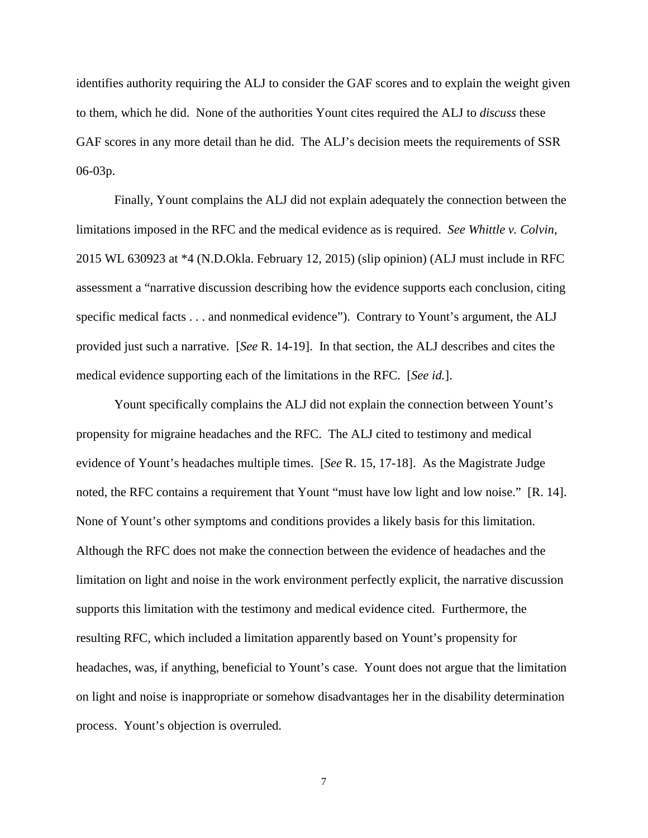identifies authority requiring the ALJ to consider the GAF scores and to explain the weight given to them, which he did. None of the authorities Yount cites required the ALJ to *discuss* these GAF scores in any more detail than he did. The ALJ's decision meets the requirements of SSR 06-03p.

 Finally, Yount complains the ALJ did not explain adequately the connection between the limitations imposed in the RFC and the medical evidence as is required. *See Whittle v. Colvin*, 2015 WL 630923 at \*4 (N.D.Okla. February 12, 2015) (slip opinion) (ALJ must include in RFC assessment a "narrative discussion describing how the evidence supports each conclusion, citing specific medical facts . . . and nonmedical evidence"). Contrary to Yount's argument, the ALJ provided just such a narrative. [*See* R. 14-19]. In that section, the ALJ describes and cites the medical evidence supporting each of the limitations in the RFC. [*See id.*].

Yount specifically complains the ALJ did not explain the connection between Yount's propensity for migraine headaches and the RFC. The ALJ cited to testimony and medical evidence of Yount's headaches multiple times. [*See* R. 15, 17-18]. As the Magistrate Judge noted, the RFC contains a requirement that Yount "must have low light and low noise." [R. 14]. None of Yount's other symptoms and conditions provides a likely basis for this limitation. Although the RFC does not make the connection between the evidence of headaches and the limitation on light and noise in the work environment perfectly explicit, the narrative discussion supports this limitation with the testimony and medical evidence cited. Furthermore, the resulting RFC, which included a limitation apparently based on Yount's propensity for headaches, was, if anything, beneficial to Yount's case. Yount does not argue that the limitation on light and noise is inappropriate or somehow disadvantages her in the disability determination process. Yount's objection is overruled.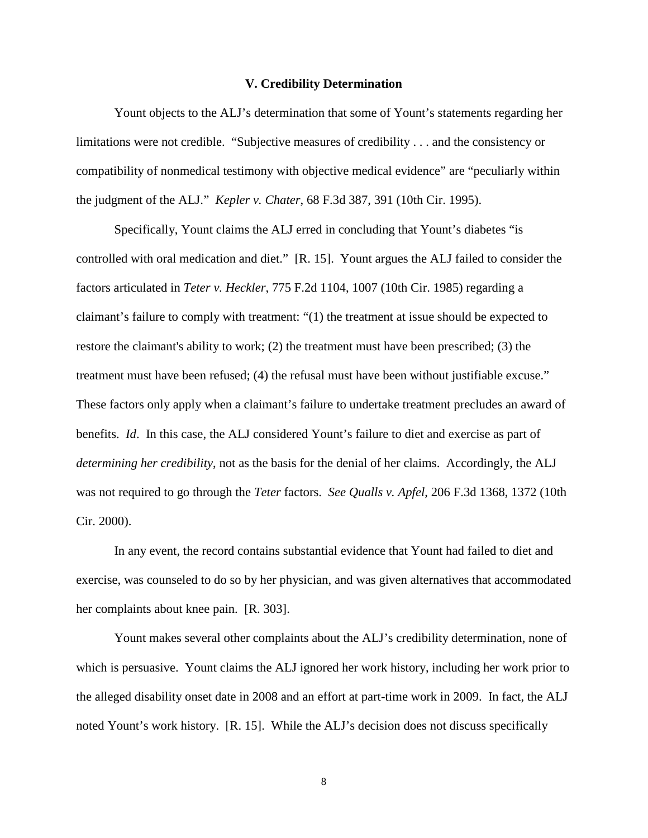### **V. Credibility Determination**

Yount objects to the ALJ's determination that some of Yount's statements regarding her limitations were not credible. "Subjective measures of credibility . . . and the consistency or compatibility of nonmedical testimony with objective medical evidence" are "peculiarly within the judgment of the ALJ." *Kepler v. Chater*, 68 F.3d 387, 391 (10th Cir. 1995).

Specifically, Yount claims the ALJ erred in concluding that Yount's diabetes "is controlled with oral medication and diet." [R. 15]. Yount argues the ALJ failed to consider the factors articulated in *Teter v. Heckler*, 775 F.2d 1104, 1007 (10th Cir. 1985) regarding a claimant's failure to comply with treatment: "(1) the treatment at issue should be expected to restore the claimant's ability to work; (2) the treatment must have been prescribed; (3) the treatment must have been refused; (4) the refusal must have been without justifiable excuse." These factors only apply when a claimant's failure to undertake treatment precludes an award of benefits. *Id*. In this case, the ALJ considered Yount's failure to diet and exercise as part of *determining her credibility*, not as the basis for the denial of her claims. Accordingly, the ALJ was not required to go through the *Teter* factors. *See Qualls v. Apfel*, 206 F.3d 1368, 1372 (10th Cir. 2000).

In any event, the record contains substantial evidence that Yount had failed to diet and exercise, was counseled to do so by her physician, and was given alternatives that accommodated her complaints about knee pain. [R. 303].

Yount makes several other complaints about the ALJ's credibility determination, none of which is persuasive. Yount claims the ALJ ignored her work history, including her work prior to the alleged disability onset date in 2008 and an effort at part-time work in 2009. In fact, the ALJ noted Yount's work history. [R. 15]. While the ALJ's decision does not discuss specifically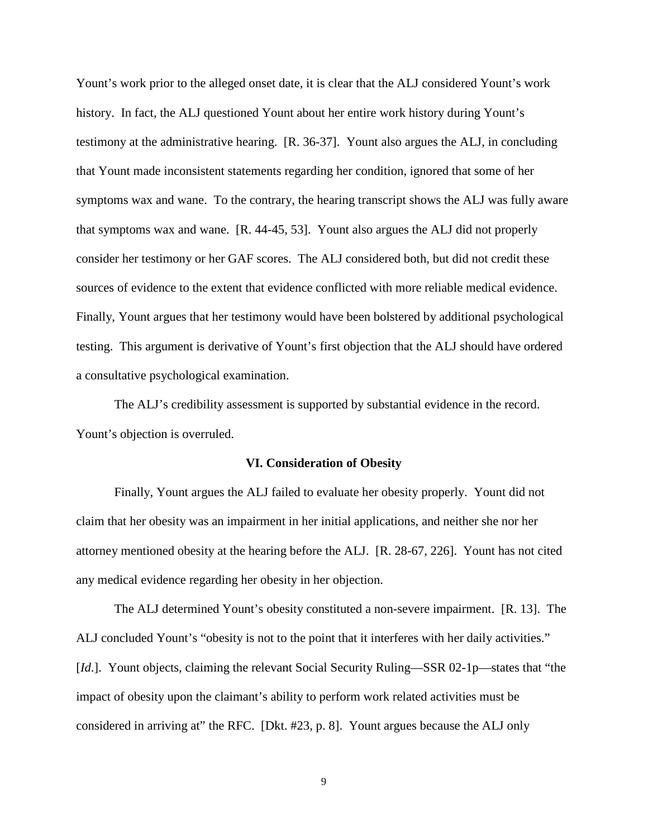Yount's work prior to the alleged onset date, it is clear that the ALJ considered Yount's work history. In fact, the ALJ questioned Yount about her entire work history during Yount's testimony at the administrative hearing. [R. 36-37]. Yount also argues the ALJ, in concluding that Yount made inconsistent statements regarding her condition, ignored that some of her symptoms wax and wane. To the contrary, the hearing transcript shows the ALJ was fully aware that symptoms wax and wane. [R. 44-45, 53]. Yount also argues the ALJ did not properly consider her testimony or her GAF scores. The ALJ considered both, but did not credit these sources of evidence to the extent that evidence conflicted with more reliable medical evidence. Finally, Yount argues that her testimony would have been bolstered by additional psychological testing. This argument is derivative of Yount's first objection that the ALJ should have ordered a consultative psychological examination.

The ALJ's credibility assessment is supported by substantial evidence in the record. Yount's objection is overruled.

### **VI. Consideration of Obesity**

Finally, Yount argues the ALJ failed to evaluate her obesity properly. Yount did not claim that her obesity was an impairment in her initial applications, and neither she nor her attorney mentioned obesity at the hearing before the ALJ. [R. 28-67, 226]. Yount has not cited any medical evidence regarding her obesity in her objection.

The ALJ determined Yount's obesity constituted a non-severe impairment. [R. 13]. The ALJ concluded Yount's "obesity is not to the point that it interferes with her daily activities." [*Id*.]. Yount objects, claiming the relevant Social Security Ruling—SSR 02-1p—states that "the impact of obesity upon the claimant's ability to perform work related activities must be considered in arriving at" the RFC. [Dkt. #23, p. 8]. Yount argues because the ALJ only